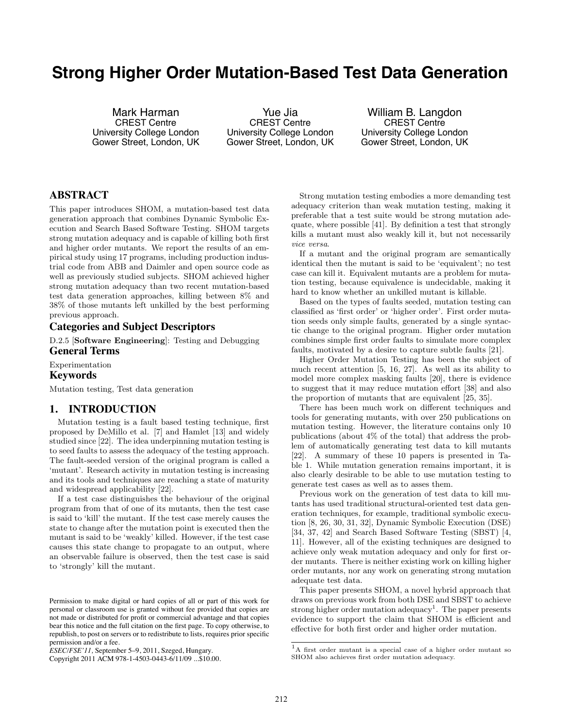# **Strong Higher Order Mutation-Based Test Data Generation**

Mark Harman CREST Centre University College London Gower Street, London, UK

Yue Jia CREST Centre University College London Gower Street, London, UK

William B. Langdon CREST Centre University College London Gower Street, London, UK

## **ABSTRACT**

This paper introduces SHOM, a mutation-based test data generation approach that combines Dynamic Symbolic Execution and Search Based Software Testing. SHOM targets strong mutation adequacy and is capable of killing both first and higher order mutants. We report the results of an empirical study using 17 programs, including production industrial code from ABB and Daimler and open source code as well as previously studied subjects. SHOM achieved higher strong mutation adequacy than two recent mutation-based test data generation approaches, killing between 8% and 38% of those mutants left unkilled by the best performing previous approach.

#### **Categories and Subject Descriptors**

D.2.5 [Software Engineering]: Testing and Debugging **General Terms**

#### Experimentation

**Keywords**

Mutation testing, Test data generation

## **1. INTRODUCTION**

Mutation testing is a fault based testing technique, first proposed by DeMillo et al. [7] and Hamlet [13] and widely studied since [22]. The idea underpinning mutation testing is to seed faults to assess the adequacy of the testing approach. The fault-seeded version of the original program is called a 'mutant'. Research activity in mutation testing is increasing and its tools and techniques are reaching a state of maturity and widespread applicability [22].

If a test case distinguishes the behaviour of the original program from that of one of its mutants, then the test case is said to 'kill' the mutant. If the test case merely causes the state to change after the mutation point is executed then the mutant is said to be 'weakly' killed. However, if the test case causes this state change to propagate to an output, where an observable failure is observed, then the test case is said to 'strongly' kill the mutant.

Strong mutation testing embodies a more demanding test adequacy criterion than weak mutation testing, making it preferable that a test suite would be strong mutation adequate, where possible [41]. By definition a test that strongly kills a mutant must also weakly kill it, but not necessarily vice versa.

If a mutant and the original program are semantically identical then the mutant is said to be 'equivalent'; no test case can kill it. Equivalent mutants are a problem for mutation testing, because equivalence is undecidable, making it hard to know whether an unkilled mutant is killable.

Based on the types of faults seeded, mutation testing can classified as 'first order' or 'higher order'. First order mutation seeds only simple faults, generated by a single syntactic change to the original program. Higher order mutation combines simple first order faults to simulate more complex faults, motivated by a desire to capture subtle faults [21].

Higher Order Mutation Testing has been the subject of much recent attention [5, 16, 27]. As well as its ability to model more complex masking faults [20], there is evidence to suggest that it may reduce mutation effort [38] and also the proportion of mutants that are equivalent [25, 35].

There has been much work on different techniques and tools for generating mutants, with over 250 publications on mutation testing. However, the literature contains only 10 publications (about 4% of the total) that address the problem of automatically generating test data to kill mutants [22]. A summary of these 10 papers is presented in Table 1. While mutation generation remains important, it is also clearly desirable to be able to use mutation testing to generate test cases as well as to asses them.

Previous work on the generation of test data to kill mutants has used traditional structural-oriented test data generation techniques, for example, traditional symbolic execution [8, 26, 30, 31, 32], Dynamic Symbolic Execution (DSE) [34, 37, 42] and Search Based Software Testing (SBST) [4, 11]. However, all of the existing techniques are designed to achieve only weak mutation adequacy and only for first order mutants. There is neither existing work on killing higher order mutants, nor any work on generating strong mutation adequate test data.

This paper presents SHOM, a novel hybrid approach that draws on previous work from both DSE and SBST to achieve strong higher order mutation adequacy<sup>1</sup>. The paper presents evidence to support the claim that SHOM is efficient and effective for both first order and higher order mutation.

Permission to make digital or hard copies of all or part of this work for personal or classroom use is granted without fee provided that copies are not made or distributed for profit or commercial advantage and that copies bear this notice and the full citation on the first page. To copy otherwise, to republish, to post on servers or to redistribute to lists, requires prior specific permission and/or a fee.

*ESEC/FSE'11,* September 5–9, 2011, Szeged, Hungary.

Copyright 2011 ACM 978-1-4503-0443-6/11/09 ...\$10.00.

 $1A$  first order mutant is a special case of a higher order mutant so SHOM also achieves first order mutation adequacy.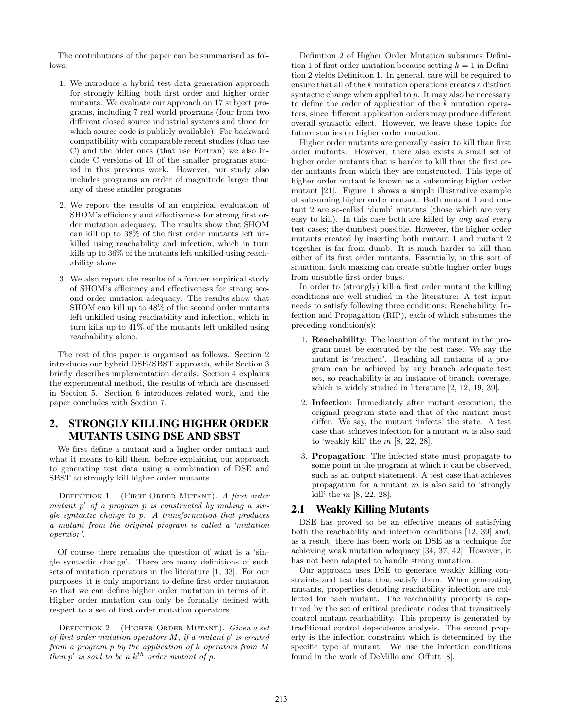The contributions of the paper can be summarised as follows:

- 1. We introduce a hybrid test data generation approach for strongly killing both first order and higher order mutants. We evaluate our approach on 17 subject programs, including 7 real world programs (four from two different closed source industrial systems and three for which source code is publicly available). For backward compatibility with comparable recent studies (that use C) and the older ones (that use Fortran) we also include C versions of 10 of the smaller programs studied in this previous work. However, our study also includes programs an order of magnitude larger than any of these smaller programs.
- 2. We report the results of an empirical evaluation of SHOM's efficiency and effectiveness for strong first order mutation adequacy. The results show that SHOM can kill up to 38% of the first order mutants left unkilled using reachability and infection, which in turn kills up to 36% of the mutants left unkilled using reachability alone.
- 3. We also report the results of a further empirical study of SHOM's efficiency and effectiveness for strong second order mutation adequacy. The results show that SHOM can kill up to 48% of the second order mutants left unkilled using reachability and infection, which in turn kills up to 41% of the mutants left unkilled using reachability alone.

The rest of this paper is organised as follows. Section 2 introduces our hybrid DSE/SBST approach, while Section 3 briefly describes implementation details. Section 4 explains the experimental method, the results of which are discussed in Section 5. Section 6 introduces related work, and the paper concludes with Section 7.

# **2. STRONGLY KILLING HIGHER ORDER MUTANTS USING DSE AND SBST**

We first define a mutant and a higher order mutant and what it means to kill them, before explaining our approach to generating test data using a combination of DSE and SBST to strongly kill higher order mutants.

DEFINITION 1 (FIRST ORDER MUTANT). A first order mutant  $p'$  of a program p is constructed by making a single syntactic change to p. A transformation that produces a mutant from the original program is called a 'mutation operator'.

Of course there remains the question of what is a 'single syntactic change'. There are many definitions of such sets of mutation operators in the literature [1, 33]. For our purposes, it is only important to define first order mutation so that we can define higher order mutation in terms of it. Higher order mutation can only be formally defined with respect to a set of first order mutation operators.

DEFINITION 2 (HIGHER ORDER MUTANT). Given a set of first order mutation operators  $M$ , if a mutant  $p'$  is created from a program p by the application of k operators from M then  $p'$  is said to be a  $k^{th}$  order mutant of  $p$ .

Definition 2 of Higher Order Mutation subsumes Definition 1 of first order mutation because setting  $k = 1$  in Definition 2 yields Definition 1. In general, care will be required to ensure that all of the k mutation operations creates a distinct syntactic change when applied to p. It may also be necessary to define the order of application of the k mutation operators, since different application orders may produce different overall syntactic effect. However, we leave these topics for future studies on higher order mutation.

Higher order mutants are generally easier to kill than first order mutants. However, there also exists a small set of higher order mutants that is harder to kill than the first order mutants from which they are constructed. This type of higher order mutant is known as a subsuming higher order mutant [21]. Figure 1 shows a simple illustrative example of subsuming higher order mutant. Both mutant 1 and mutant 2 are so-called 'dumb' mutants (those which are very easy to kill). In this case both are killed by any and every test cases; the dumbest possible. However, the higher order mutants created by inserting both mutant 1 and mutant 2 together is far from dumb. It is much harder to kill than either of its first order mutants. Essentially, in this sort of situation, fault masking can create subtle higher order bugs from unsubtle first order bugs.

In order to (strongly) kill a first order mutant the killing conditions are well studied in the literature: A test input needs to satisfy following three conditions: Reachability, Infection and Propagation (RIP), each of which subsumes the preceding condition(s):

- 1. Reachability: The location of the mutant in the program must be executed by the test case. We say the mutant is 'reached'. Reaching all mutants of a program can be achieved by any branch adequate test set, so reachability is an instance of branch coverage, which is widely studied in literature [2, 12, 19, 39].
- 2. Infection: Immediately after mutant execution, the original program state and that of the mutant must differ. We say, the mutant 'infects' the state. A test case that achieves infection for a mutant  $m$  is also said to 'weakly kill' the  $m$  [8, 22, 28].
- 3. Propagation: The infected state must propagate to some point in the program at which it can be observed, such as an output statement. A test case that achieves propagation for a mutant  $m$  is also said to 'strongly kill' the m [8, 22, 28].

#### **2.1 Weakly Killing Mutants**

DSE has proved to be an effective means of satisfying both the reachability and infection conditions [12, 39] and, as a result, there has been work on DSE as a technique for achieving weak mutation adequacy [34, 37, 42]. However, it has not been adapted to handle strong mutation.

Our approach uses DSE to generate weakly killing constraints and test data that satisfy them. When generating mutants, properties denoting reachability infection are collected for each mutant. The reachability property is captured by the set of critical predicate nodes that transitively control mutant reachability. This property is generated by traditional control dependence analysis. The second property is the infection constraint which is determined by the specific type of mutant. We use the infection conditions found in the work of DeMillo and Offutt [8].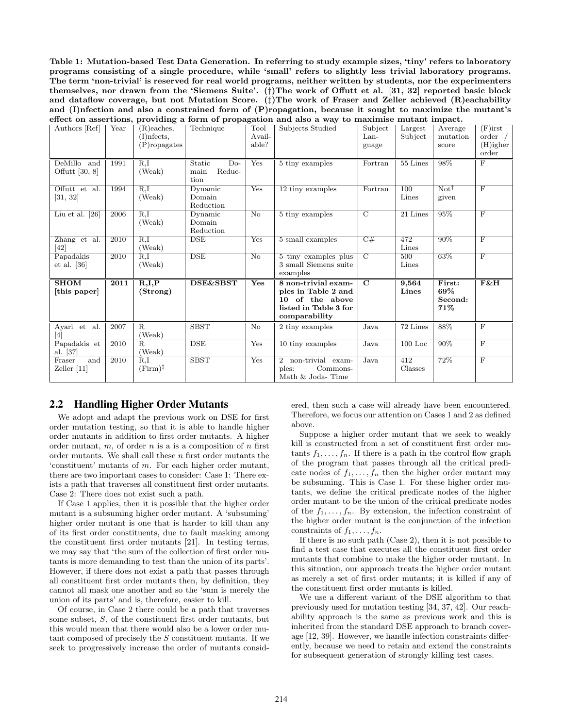Table 1: Mutation-based Test Data Generation. In referring to study example sizes, 'tiny' refers to laboratory programs consisting of a single procedure, while 'small' refers to slightly less trivial laboratory programs. The term 'non-trivial' is reserved for real world programs, neither written by students, nor the experimenters themselves, nor drawn from the 'Siemens Suite'.  $(†)$ The work of Offutt et al. [31, 32] reported basic block and dataflow coverage, but not Mutation Score. (#) The work of Fraser and Zeller achieved (R)eachability and (I)nfection and also a constrained form of (P)ropagation, because it sought to maximize the mutant's effect on assertions, providing a form of propagation and also a way to maximise mutant impact.

| Authors [Ref]                  | Year | —— —————————————————————<br>$(R)$ eaches,<br>$(I)$ nfects,<br>(P)ropagates | Technique                                 | Tool<br>Avail-<br>able?   | Subjects Studied                                                                                        | Subject<br>$Lan-$<br>guage | Largest<br>Subject | Average<br>mutation<br>score                 | $(F)$ irst<br>order /<br>$(H)$ igher<br>order |
|--------------------------------|------|----------------------------------------------------------------------------|-------------------------------------------|---------------------------|---------------------------------------------------------------------------------------------------------|----------------------------|--------------------|----------------------------------------------|-----------------------------------------------|
| DeMillo and<br>Offutt [30, 8]  | 1991 | R,I<br>(Weak)                                                              | Static<br>$Do-$<br>Reduc-<br>main<br>tion | <b>Yes</b>                | 5 tiny examples                                                                                         | Fortran                    | $55$ Lines         | 98%                                          | $\overline{F}$                                |
| Offutt et al.<br>[31, 32]      | 1994 | R.I<br>(Weak)                                                              | Dynamic<br>Domain<br>Reduction            | Yes                       | 12 tiny examples                                                                                        | Fortran                    | 100<br>Lines       | $\overline{\mathrm{Not}}^{\dagger}$<br>given | $\overline{F}$                                |
| Liu et al. $[26]$              | 2006 | R.I<br>(Weak)                                                              | Dynamic<br>Domain<br>Reduction            | $\overline{\text{No}}$    | 5 tiny examples                                                                                         | $\overline{C}$             | 21 Lines           | 95%                                          | $_{\rm F}$                                    |
| Zhang et al.<br>[42]           | 2010 | R.I<br>(Weak)                                                              | $\overline{\text{DSE}}$                   | Yes                       | 5 small examples                                                                                        | C#                         | 472<br>Lines       | 90%                                          | $_{\rm F}$                                    |
| Papadakis<br>et al. [36]       | 2010 | $\overline{\text{R.I}}$<br>(Weak)                                          | $\overline{\text{DSE}}$                   | $\overline{\text{No}}$    | 5 tiny examples plus<br>3 small Siemens suite<br>examples                                               | $\overline{C}$             | 500<br>Lines       | 63%                                          | $_{\rm F}$                                    |
| $SIM$<br>[this paper]          | 2011 | $\overline{\text{R,I,P}}$<br>(Strong)                                      | <b>DSE&amp;SBST</b>                       | $\overline{\mathrm{Yes}}$ | 8 non-trivial exam-<br>ples in Table 2 and<br>10 of the above<br>listed in Table 3 for<br>comparability | $\overline{C}$             | 9,564<br>Lines     | First:<br>69%<br>Second:<br>71%              | F&H                                           |
| Ayari et al.<br>[4]            | 2007 | R.<br>(Weak)                                                               | <b>SBST</b>                               | No                        | 2 tiny examples                                                                                         | Java                       | $72$ Lines         | 88%                                          | $_{\rm F}$                                    |
| Papadakis et<br>al. [37]       | 2010 | R.<br>(Weak)                                                               | $\overline{\text{DSE}}$                   | Yes                       | 10 tiny examples                                                                                        | Java                       | $100$ Loc          | 90%                                          | $\overline{F}$                                |
| Fraser<br>and<br>Zeller $[11]$ | 2010 | $\overline{\text{R.I}}$<br>$(Firm)^{\ddagger}$                             | <b>SBST</b>                               | Yes                       | 2 non-trivial exam-<br>Commons-<br>ples:<br>Math & Joda-Time                                            | Java                       | 412<br>Classes     | 72%                                          | $\overline{F}$                                |

#### **2.2 Handling Higher Order Mutants**

We adopt and adapt the previous work on DSE for first order mutation testing, so that it is able to handle higher order mutants in addition to first order mutants. A higher order mutant,  $m$ , of order  $n$  is a is a composition of  $n$  first order mutants. We shall call these  $n$  first order mutants the 'constituent' mutants of m. For each higher order mutant, there are two important cases to consider: Case 1: There exists a path that traverses all constituent first order mutants. Case 2: There does not exist such a path.

If Case 1 applies, then it is possible that the higher order mutant is a subsuming higher order mutant. A 'subsuming' higher order mutant is one that is harder to kill than any of its first order constituents, due to fault masking among the constituent first order mutants [21]. In testing terms, we may say that 'the sum of the collection of first order mutants is more demanding to test than the union of its parts'. However, if there does not exist a path that passes through all constituent first order mutants then, by definition, they cannot all mask one another and so the 'sum is merely the union of its parts' and is, therefore, easier to kill.

Of course, in Case 2 there could be a path that traverses some subset, S, of the constituent first order mutants, but this would mean that there would also be a lower order mutant composed of precisely the S constituent mutants. If we seek to progressively increase the order of mutants considered, then such a case will already have been encountered. Therefore, we focus our attention on Cases 1 and 2 as defined above.

Suppose a higher order mutant that we seek to weakly kill is constructed from a set of constituent first order mutants  $f_1, \ldots, f_n$ . If there is a path in the control flow graph of the program that passes through all the critical predicate nodes of  $f_1, \ldots, f_n$  then the higher order mutant may be subsuming. This is Case 1. For these higher order mutants, we define the critical predicate nodes of the higher order mutant to be the union of the critical predicate nodes of the  $f_1,\ldots,f_n$ . By extension, the infection constraint of the higher order mutant is the conjunction of the infection constraints of  $f_1, \ldots, f_n$ .

If there is no such path (Case 2), then it is not possible to find a test case that executes all the constituent first order mutants that combine to make the higher order mutant. In this situation, our approach treats the higher order mutant as merely a set of first order mutants; it is killed if any of the constituent first order mutants is killed.

We use a different variant of the DSE algorithm to that previously used for mutation testing [34, 37, 42]. Our reachability approach is the same as previous work and this is inherited from the standard DSE approach to branch coverage [12, 39]. However, we handle infection constraints differently, because we need to retain and extend the constraints for subsequent generation of strongly killing test cases.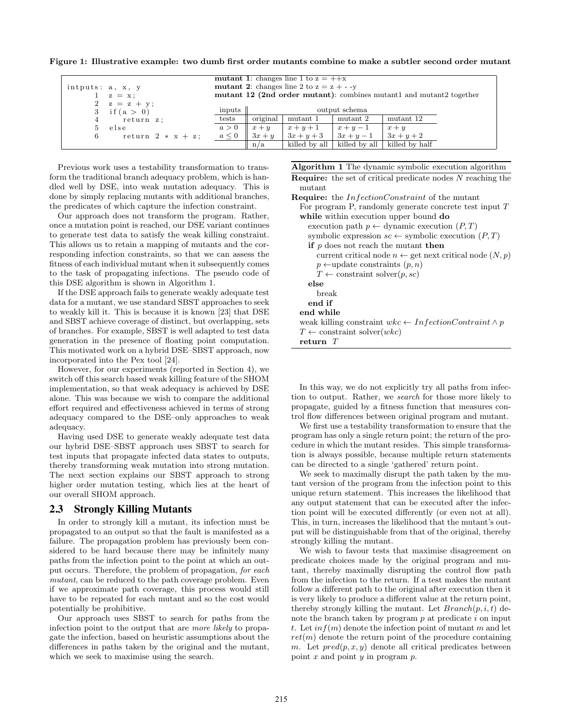Figure 1: Illustrative example: two dumb first order mutants combine to make a subtler second order mutant

| intputs: a, x, y<br>$1 \quad z = x;$                | <b>mutant 1:</b> changes line 1 to $z = ++x$<br><b>mutant 2</b> : changes line 2 to $z = z + -y$<br>mutant 12 (2nd order mutant): combines mutant1 and mutant2 together |                     |                     |                                       |                         |  |  |
|-----------------------------------------------------|-------------------------------------------------------------------------------------------------------------------------------------------------------------------------|---------------------|---------------------|---------------------------------------|-------------------------|--|--|
| 2 $z = z + y$ ;<br>3 if $(a > 0)$<br>return z;<br>4 | inputs  <br>tests                                                                                                                                                       | original            | mutant 1            | output schema<br>mutant 2             | mutant 12               |  |  |
| else<br>Ð.<br>return $2 * x + z$ ;<br>6             | a>0<br>$a\leq 0$                                                                                                                                                        | $x + y$<br>$3x + y$ | $x+y+1$<br>$3x+y+3$ | $\left  x+y-1\right $<br>$3x + y - 1$ | $x + y$<br>$3x + y + 2$ |  |  |
|                                                     |                                                                                                                                                                         | n/a                 | killed by all $ $   | killed by all                         | killed by half          |  |  |

Previous work uses a testability transformation to transform the traditional branch adequacy problem, which is handled well by DSE, into weak mutation adequacy. This is done by simply replacing mutants with additional branches, the predicates of which capture the infection constraint.

Our approach does not transform the program. Rather, once a mutation point is reached, our DSE variant continues to generate test data to satisfy the weak killing constraint. This allows us to retain a mapping of mutants and the corresponding infection constraints, so that we can assess the fitness of each individual mutant when it subsequently comes to the task of propagating infections. The pseudo code of this DSE algorithm is shown in Algorithm 1.

If the DSE approach fails to generate weakly adequate test data for a mutant, we use standard SBST approaches to seek to weakly kill it. This is because it is known [23] that DSE and SBST achieve coverage of distinct, but overlapping, sets of branches. For example, SBST is well adapted to test data generation in the presence of floating point computation. This motivated work on a hybrid DSE–SBST approach, now incorporated into the Pex tool [24].

However, for our experiments (reported in Section 4), we switch off this search based weak killing feature of the SHOM implementation, so that weak adequacy is achieved by DSE alone. This was because we wish to compare the additional effort required and effectiveness achieved in terms of strong adequacy compared to the DSE–only approaches to weak adequacy.

Having used DSE to generate weakly adequate test data our hybrid DSE–SBST approach uses SBST to search for test inputs that propagate infected data states to outputs, thereby transforming weak mutation into strong mutation. The next section explains our SBST approach to strong higher order mutation testing, which lies at the heart of our overall SHOM approach.

#### **2.3 Strongly Killing Mutants**

In order to strongly kill a mutant, its infection must be propagated to an output so that the fault is manifested as a failure. The propagation problem has previously been considered to be hard because there may be infinitely many paths from the infection point to the point at which an output occurs. Therefore, the problem of propagation, for each mutant, can be reduced to the path coverage problem. Even if we approximate path coverage, this process would still have to be repeated for each mutant and so the cost would potentially be prohibitive.

Our approach uses SBST to search for paths from the infection point to the output that are more likely to propagate the infection, based on heuristic assumptions about the differences in paths taken by the original and the mutant, which we seek to maximise using the search.

Algorithm 1 The dynamic symbolic execution algorithm **Require:** the set of critical predicate nodes  $N$  reaching the mutant

| <b>Require:</b> the <i>InfectionConstraint</i> of the mutant         |
|----------------------------------------------------------------------|
| For program P, randomly generate concrete test input $T$             |
| while within execution upper bound do                                |
| execution path $p \leftarrow$ dynamic execution $(P, T)$             |
| symbolic expression $sc \leftarrow$ symbolic execution $(P, T)$      |
| <b>if</b> p does not reach the mutant <b>then</b>                    |
| current critical node $n \leftarrow$ get next critical node $(N, p)$ |
| $p \leftarrow$ update constraints $(p, n)$                           |
| $T \leftarrow$ constraint solver(p, sc)                              |
| else                                                                 |
| break                                                                |
| end if                                                               |
| end while                                                            |
| weak killing constraint $wkc \leftarrow InfectionContraint \wedge p$ |
| $T \leftarrow$ constraint solver( <i>wkc</i> )                       |
| return $T$                                                           |
|                                                                      |

In this way, we do not explicitly try all paths from infection to output. Rather, we search for those more likely to propagate, guided by a fitness function that measures control flow differences between original program and mutant.

We first use a testability transformation to ensure that the program has only a single return point; the return of the procedure in which the mutant resides. This simple transformation is always possible, because multiple return statements can be directed to a single 'gathered' return point.

We seek to maximally disrupt the path taken by the mutant version of the program from the infection point to this unique return statement. This increases the likelihood that any output statement that can be executed after the infection point will be executed differently (or even not at all). This, in turn, increases the likelihood that the mutant's output will be distinguishable from that of the original, thereby strongly killing the mutant.

We wish to favour tests that maximise disagreement on predicate choices made by the original program and mutant, thereby maximally disrupting the control flow path from the infection to the return. If a test makes the mutant follow a different path to the original after execution then it is very likely to produce a different value at the return point, thereby strongly killing the mutant. Let  $Branch(p, i, t)$  denote the branch taken by program  $p$  at predicate  $i$  on input t. Let  $inf(m)$  denote the infection point of mutant m and let  $ret(m)$  denote the return point of the procedure containing m. Let  $pred(p, x, y)$  denote all critical predicates between point  $x$  and point  $y$  in program  $p$ .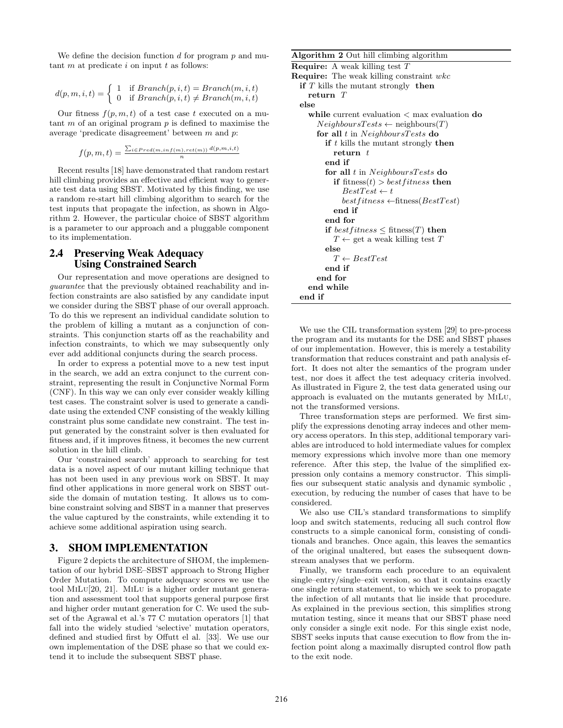We define the decision function  $d$  for program  $p$  and mutant  $m$  at predicate  $i$  on input  $t$  as follows:

$$
d(p, m, i, t) = \begin{cases} 1 & \text{if Branch}(p, i, t) = Branch(m, i, t) \\ 0 & \text{if Branch}(p, i, t) \neq Branch(m, i, t) \end{cases}
$$

Our fitness  $f(p, m, t)$  of a test case t executed on a mutant  $m$  of an original program  $p$  is defined to maximise the average 'predicate disagreement' between m and p:

$$
f(p,m,t) = \frac{\sum_{i \in Pred(m,inf(m),ret(m))} d(p,m,i,t)}{n}
$$

Recent results [18] have demonstrated that random restart hill climbing provides an effective and efficient way to generate test data using SBST. Motivated by this finding, we use a random re-start hill climbing algorithm to search for the test inputs that propagate the infection, as shown in Algorithm 2. However, the particular choice of SBST algorithm is a parameter to our approach and a pluggable component to its implementation.

#### **2.4 Preserving Weak Adequacy Using Constrained Search**

Our representation and move operations are designed to guarantee that the previously obtained reachability and infection constraints are also satisfied by any candidate input we consider during the SBST phase of our overall approach. To do this we represent an individual candidate solution to the problem of killing a mutant as a conjunction of constraints. This conjunction starts off as the reachability and infection constraints, to which we may subsequently only ever add additional conjuncts during the search process.

In order to express a potential move to a new test input in the search, we add an extra conjunct to the current constraint, representing the result in Conjunctive Normal Form (CNF). In this way we can only ever consider weakly killing test cases. The constraint solver is used to generate a candidate using the extended CNF consisting of the weakly killing constraint plus some candidate new constraint. The test input generated by the constraint solver is then evaluated for fitness and, if it improves fitness, it becomes the new current solution in the hill climb.

Our 'constrained search' approach to searching for test data is a novel aspect of our mutant killing technique that has not been used in any previous work on SBST. It may find other applications in more general work on SBST outside the domain of mutation testing. It allows us to combine constraint solving and SBST in a manner that preserves the value captured by the constraints, while extending it to achieve some additional aspiration using search.

#### **3. SHOM IMPLEMENTATION**

Figure 2 depicts the architecture of SHOM, the implementation of our hybrid DSE–SBST approach to Strong Higher Order Mutation. To compute adequacy scores we use the tool MiLu[20, 21]. MiLu is a higher order mutant generation and assessment tool that supports general purpose first and higher order mutant generation for C. We used the subset of the Agrawal et al.'s 77 C mutation operators [1] that fall into the widely studied 'selective' mutation operators, defined and studied first by Offutt el al. [33]. We use our own implementation of the DSE phase so that we could extend it to include the subsequent SBST phase.

#### Algorithm 2 Out hill climbing algorithm

```
Require: A weak killing test T
Require: The weak killing constraint wkc
  if T kills the mutant strongly then
    return T
  else
    while current evaluation < max evaluation do
       NeighboursTests \leftarrow neighbours(T)for all t in NeighboursTests do
         if t kills the mutant strongly then
           return tend if
         for all t in NeighboursTests do
           if fitness(t) > best fitness then
              BestTest \leftarrow tbestfitness \leftarrow fitness(BestTest)end if
         end for
         if bestfitness < fitness(T) then
            T \leftarrow get a weak killing test T
         else
           T \leftarrow BestTestend if
       end for
    end while
  end if
```
We use the CIL transformation system [29] to pre-process the program and its mutants for the DSE and SBST phases of our implementation. However, this is merely a testability transformation that reduces constraint and path analysis effort. It does not alter the semantics of the program under test, nor does it affect the test adequacy criteria involved. As illustrated in Figure 2, the test data generated using our approach is evaluated on the mutants generated by MiLu, not the transformed versions.

Three transformation steps are performed. We first simplify the expressions denoting array indeces and other memory access operators. In this step, additional temporary variables are introduced to hold intermediate values for complex memory expressions which involve more than one memory reference. After this step, the lvalue of the simplified expression only contains a memory constructor. This simplifies our subsequent static analysis and dynamic symbolic , execution, by reducing the number of cases that have to be considered.

We also use CIL's standard transformations to simplify loop and switch statements, reducing all such control flow constructs to a simple canonical form, consisting of conditionals and branches. Once again, this leaves the semantics of the original unaltered, but eases the subsequent downstream analyses that we perform.

Finally, we transform each procedure to an equivalent single–entry/single–exit version, so that it contains exactly one single return statement, to which we seek to propagate the infection of all mutants that lie inside that procedure. As explained in the previous section, this simplifies strong mutation testing, since it means that our SBST phase need only consider a single exit node. For this single exist node, SBST seeks inputs that cause execution to flow from the infection point along a maximally disrupted control flow path to the exit node.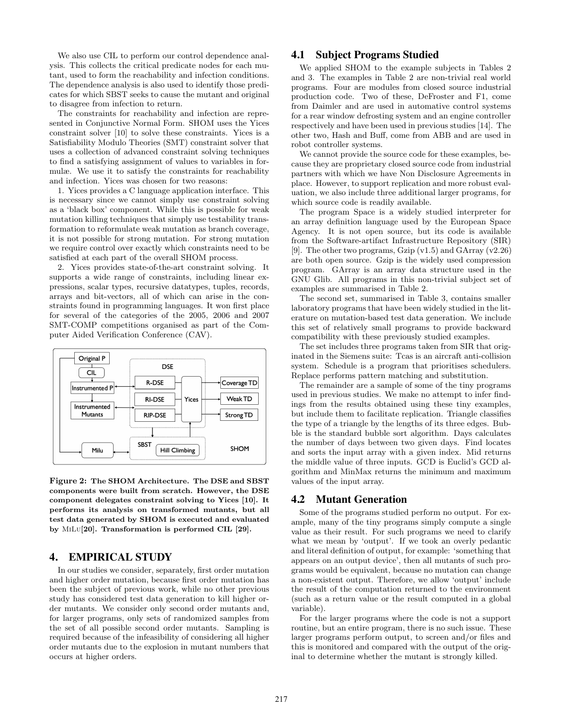We also use CIL to perform our control dependence analysis. This collects the critical predicate nodes for each mutant, used to form the reachability and infection conditions. The dependence analysis is also used to identify those predicates for which SBST seeks to cause the mutant and original to disagree from infection to return.

The constraints for reachability and infection are represented in Conjunctive Normal Form. SHOM uses the Yices constraint solver [10] to solve these constraints. Yices is a Satisfiability Modulo Theories (SMT) constraint solver that uses a collection of advanced constraint solving techniques to find a satisfying assignment of values to variables in formulæ. We use it to satisfy the constraints for reachability and infection. Yices was chosen for two reasons:

1. Yices provides a C language application interface. This is necessary since we cannot simply use constraint solving as a 'black box' component. While this is possible for weak mutation killing techniques that simply use testability transformation to reformulate weak mutation as branch coverage, it is not possible for strong mutation. For strong mutation we require control over exactly which constraints need to be satisfied at each part of the overall SHOM process.

2. Yices provides state-of-the-art constraint solving. It supports a wide range of constraints, including linear expressions, scalar types, recursive datatypes, tuples, records, arrays and bit-vectors, all of which can arise in the constraints found in programming languages. It won first place for several of the categories of the 2005, 2006 and 2007 SMT-COMP competitions organised as part of the Computer Aided Verification Conference (CAV).



Figure 2: The SHOM Architecture. The DSE and SBST components were built from scratch. However, the DSE component delegates constraint solving to Yices [10]. It performs its analysis on transformed mutants, but all test data generated by SHOM is executed and evaluated by MiLu[20]. Transformation is performed CIL [29].

#### **4. EMPIRICAL STUDY**

In our studies we consider, separately, first order mutation and higher order mutation, because first order mutation has been the subject of previous work, while no other previous study has considered test data generation to kill higher order mutants. We consider only second order mutants and, for larger programs, only sets of randomized samples from the set of all possible second order mutants. Sampling is required because of the infeasibility of considering all higher order mutants due to the explosion in mutant numbers that occurs at higher orders.

## **4.1 Subject Programs Studied**

We applied SHOM to the example subjects in Tables 2 and 3. The examples in Table 2 are non-trivial real world programs. Four are modules from closed source industrial production code. Two of these, DeFroster and F1, come from Daimler and are used in automative control systems for a rear window defrosting system and an engine controller respectively and have been used in previous studies [14]. The other two, Hash and Buff, come from ABB and are used in robot controller systems.

We cannot provide the source code for these examples, because they are proprietary closed source code from industrial partners with which we have Non Disclosure Agreements in place. However, to support replication and more robust evaluation, we also include three additional larger programs, for which source code is readily available.

The program Space is a widely studied interpreter for an array definition language used by the European Space Agency. It is not open source, but its code is available from the Software-artifact Infrastructure Repository (SIR) [9]. The other two programs, Gzip (v1.5) and GArray (v2.26) are both open source. Gzip is the widely used compression program. GArray is an array data structure used in the GNU Glib. All programs in this non-trivial subject set of examples are summarised in Table 2.

The second set, summarised in Table 3, contains smaller laboratory programs that have been widely studied in the literature on mutation-based test data generation. We include this set of relatively small programs to provide backward compatibility with these previously studied examples.

The set includes three programs taken from SIR that originated in the Siemens suite: Tcas is an aircraft anti-collision system. Schedule is a program that prioritises schedulers. Replace performs pattern matching and substitution.

The remainder are a sample of some of the tiny programs used in previous studies. We make no attempt to infer findings from the results obtained using these tiny examples, but include them to facilitate replication. Triangle classifies the type of a triangle by the lengths of its three edges. Bubble is the standard bubble sort algorithm. Days calculates the number of days between two given days. Find locates and sorts the input array with a given index. Mid returns the middle value of three inputs. GCD is Euclid's GCD algorithm and MinMax returns the minimum and maximum values of the input array.

#### **4.2 Mutant Generation**

Some of the programs studied perform no output. For example, many of the tiny programs simply compute a single value as their result. For such programs we need to clarify what we mean by 'output'. If we took an overly pedantic and literal definition of output, for example: 'something that appears on an output device', then all mutants of such programs would be equivalent, because no mutation can change a non-existent output. Therefore, we allow 'output' include the result of the computation returned to the environment (such as a return value or the result computed in a global variable).

For the larger programs where the code is not a support routine, but an entire program, there is no such issue. These larger programs perform output, to screen and/or files and this is monitored and compared with the output of the original to determine whether the mutant is strongly killed.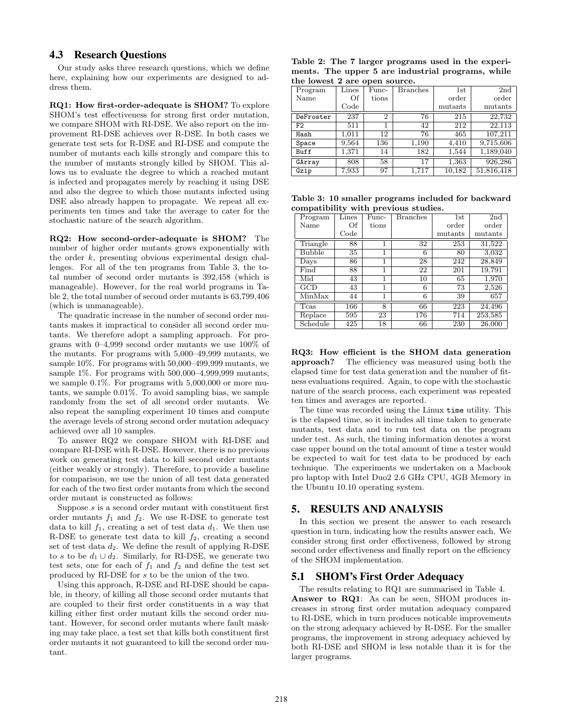#### **4.3 Research Questions**

Our study asks three research questions, which we define here, explaining how our experiments are designed to address them.

RQ1: How first-order-adequate is SHOM? To explore SHOM's test effectiveness for strong first order mutation, we compare SHOM with RI-DSE. We also report on the improvement RI-DSE achieves over R-DSE. In both cases we generate test sets for R-DSE and RI-DSE and compute the number of mutants each kills strongly and compare this to the number of mutants strongly killed by SHOM. This allows us to evaluate the degree to which a reached mutant is infected and propagates merely by reaching it using DSE and also the degree to which those mutants infected using DSE also already happen to propagate. We repeat all experiments ten times and take the average to cater for the stochastic nature of the search algorithm.

RQ2: How second-order-adequate is SHOM? The number of higher order mutants grows exponentially with the order  $k$ , presenting obvious experimental design challenges. For all of the ten programs from Table 3, the total number of second order mutants is 392,458 (which is manageable). However, for the real world programs in Table 2, the total number of second order mutants is 63,799,406 (which is unmanageable).

The quadratic increase in the number of second order mutants makes it impractical to consider all second order mutants. We therefore adopt a sampling approach. For programs with 0–4,999 second order mutants we use 100% of the mutants. For programs with 5,000–49,999 mutants, we sample 10%. For programs with 50,000–499,999 mutants, we sample 1%. For programs with 500,000–4,999,999 mutants, we sample 0.1%. For programs with 5,000,000 or more mutants, we sample 0.01%. To avoid sampling bias, we sample randomly from the set of all second order mutants. We also repeat the sampling experiment 10 times and compute the average levels of strong second order mutation adequacy achieved over all 10 samples.

To answer RQ2 we compare SHOM with RI-DSE and compare RI-DSE with R-DSE. However, there is no previous work on generating test data to kill second order mutants (either weakly or strongly). Therefore, to provide a baseline for comparison, we use the union of all test data generated for each of the two first order mutants from which the second order mutant is constructed as follows:

Suppose s is a second order mutant with constituent first order mutants  $f_1$  and  $f_2$ . We use R-DSE to generate test data to kill  $f_1$ , creating a set of test data  $d_1$ . We then use R-DSE to generate test data to kill  $f_2$ , creating a second set of test data  $d_2$ . We define the result of applying R-DSE to s to be  $d_1 \cup d_2$ . Similarly, for RI-DSE, we generate two test sets, one for each of  $f_1$  and  $f_2$  and define the test set produced by RI-DSE for s to be the union of the two.

Using this approach, R-DSE and RI-DSE should be capable, in theory, of killing all those second order mutants that are coupled to their first order constituents in a way that killing either first order mutant kills the second order mutant. However, for second order mutants where fault masking may take place, a test set that kills both constituent first order mutants it not guaranteed to kill the second order mutant.

Table 2: The 7 larger programs used in the experiments. The upper 5 are industrial programs, while the lowest 2 are open source.

| Program   | Lines      | Func-          | <b>Branches</b> | 1st     | 2nd        |
|-----------|------------|----------------|-----------------|---------|------------|
| Name      | Of         | tions          |                 | order   | order      |
|           | $\rm Code$ |                |                 | mutants | mutants    |
| DeFroster | 237        | $\overline{2}$ | 76              | 215     | 22,732     |
| F2        | 511        |                | 42              | 212     | 22,113     |
| Hash      | 1.011      | 12             | 76              | 465     | 107,211    |
| Space     | 9,564      | 136            | 1,190           | 4,410   | 9,715,606  |
| Buff      | 1,371      | 14             | 182             | 1,544   | 1,189,040  |
| GArray    | 808        | 58             | 17              | 1,363   | 926,286    |
| Gzip      | 7,933      | 97             | 1,717           | 10,182  | 51,816,418 |

Table 3: 10 smaller programs included for backward compatibility with previous studies.

| Program       | Lines | Func- | <b>Branches</b> | 1st     | 2nd     |
|---------------|-------|-------|-----------------|---------|---------|
| Name          | Of    | tions |                 | order   | order   |
|               | Code  |       |                 | mutants | mutants |
| Triangle      | 88    |       | 32              | 253     | 31,522  |
| <b>Bubble</b> | 35    |       | 6               | 80      | 3,032   |
| Days          | 86    | 1     | 28              | 242     | 28,849  |
| Find          | 88    | 1     | 22              | 201     | 19,791  |
| Mid           | 43    | 1     | 10              | 65      | 1,970   |
| GCD           | 43    |       | 6               | 73      | 2,526   |
| MinMax        | 44    | 1     | 6               | 39      | 657     |
| Tcas          | 166   | 8     | 66              | 223     | 24,496  |
| Replace       | 595   | 23    | 176             | 714     | 253,585 |
| Schedule      | 425   | 18    | 66              | 230     | 26,000  |

RQ3: How efficient is the SHOM data generation approach? The efficiency was measured using both the elapsed time for test data generation and the number of fitness evaluations required. Again, to cope with the stochastic nature of the search process, each experiment was repeated ten times and averages are reported.

The time was recorded using the Linux time utility. This is the elapsed time, so it includes all time taken to generate mutants, test data and to run test data on the program under test. As such, the timing information denotes a worst case upper bound on the total amount of time a tester would be expected to wait for test data to be produced by each technique. The experiments we undertaken on a Macbook pro laptop with Intel Duo2 2.6 GHz CPU, 4GB Memory in the Ubuntu 10.10 operating system.

#### **5. RESULTS AND ANALYSIS**

In this section we present the answer to each research question in turn, indicating how the results answer each. We consider strong first order effectiveness, followed by strong second order effectiveness and finally report on the efficiency of the SHOM implementation.

#### **5.1 SHOM's First Order Adequacy**

The results relating to RQ1 are summarised in Table 4. Answer to RQ1: As can be seen, SHOM produces increases in strong first order mutation adequacy compared to RI-DSE, which in turn produces noticable improvements on the strong adequacy achieved by R-DSE. For the smaller programs, the improvement in strong adequacy achieved by both RI-DSE and SHOM is less notable than it is for the larger programs.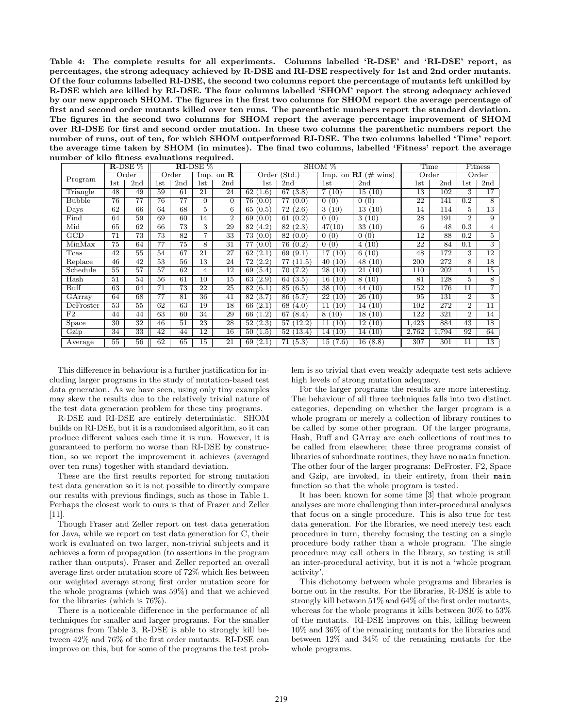Table 4: The complete results for all experiments. Columns labelled 'R-DSE' and 'RI-DSE' report, as percentages, the strong adequacy achieved by R-DSE and RI-DSE respectively for 1st and 2nd order mutants. Of the four columns labelled RI-DSE, the second two columns report the percentage of mutants left unkilled by R-DSE which are killed by RI-DSE. The four columns labelled 'SHOM' report the strong adequacy achieved by our new approach SHOM. The figures in the first two columns for SHOM report the average percentage of first and second order mutants killed over ten runs. The parenthetic numbers report the standard deviation. The figures in the second two columns for SHOM report the average percentage improvement of SHOM over RI-DSE for first and second order mutation. In these two columns the parenthetic numbers report the number of runs, out of ten, for which SHOM outperformed RI-DSE. The two columns labelled 'Time' report the average time taken by SHOM (in minutes). The final two columns, labelled 'Fitness' report the average number of kilo fitness evaluations required.

|                           |                  | $R$ -DSE $%$    | $R$ I-DSE $%$   |                            |                 | SHOM %         |                              |                                     |                      | Time                                                 |       | Fitness                   |                 |                 |
|---------------------------|------------------|-----------------|-----------------|----------------------------|-----------------|----------------|------------------------------|-------------------------------------|----------------------|------------------------------------------------------|-------|---------------------------|-----------------|-----------------|
| Program                   |                  | Order           |                 | Order                      | Imp.            | on $\bf R$     | Order                        | [Std.]                              |                      | Imp. on $\mathbf{RI}$ (#<br>$\overline{\text{wins}}$ |       | $\overline{\text{Order}}$ |                 | Order           |
|                           | $_{\rm 1st}$     | $_{\rm 2nd}$    | $_{\rm 1st}$    | 2nd                        | $_{\rm 1st}$    | 2nd            | $_{\rm 1st}$                 | 2nd                                 | 1st                  | 2nd                                                  | 1st   | $_{\rm 2nd}$              | $_{\rm 1st}$    | 2nd             |
| Triangle                  | 48               | 49              | 59              | 61                         | 21              | 24             | (1.6)<br>62                  | (3.8)<br>67                         | 7(10)                | $1\overline{5}$<br>$^{\prime}10)$                    | 13    | 102                       | 3               | 17              |
| <b>Bubble</b>             | 76               | $\overline{77}$ | $\overline{76}$ | $\overline{7}\overline{7}$ | $\Omega$        | 0              | 76<br>(0.0)                  | $\overline{7}\overline{7}$<br>(0.0) | (0)                  | 0(0)                                                 | 22    | 141                       | 0.2             | 8               |
| Days                      | 62               | 66              | 64              | 68                         | 5               | 6              | 65<br>(0.5)                  | 72<br>(2.6)                         | 3(10)                | $^{\prime}10)$<br>13                                 | 14    | 114                       | 5               | 13              |
| Find                      | 64               | 59              | 69              | 60                         | 14              | $\overline{2}$ | 69<br>$\left(0.0\right)$     | 61<br>(0.2)                         | (0)                  | 3(10)                                                | 28    | 191                       | $\overline{2}$  | 9               |
| Mid                       | 65               | 62              | 66              | 73                         | 3               | 29             | 82<br>4.2                    | 82<br>(2.3)                         | 47(<br>(10)          | $\left(10\right)$<br>33                              | 6     | 48                        | 0.3             | 4               |
| $\overline{\mathrm{GCD}}$ | $\overline{71}$  | 73              | 73              | 82                         | 7               | 33             | 73<br>(0.0)                  | 82<br>(0.0)                         | 0(0)                 | 0(0)                                                 | 12    | 88                        | 0.2             | 5               |
| MinMax                    | 75               | 64              | 77              | 75                         | 8               | 31             | 77<br>$\left(0.0\right)$     | 76<br>(0.2)                         | (0)                  | $10^{\circ}$<br>4 (                                  | 22    | 84                        | 0.1             | 3               |
| Tcas                      | 42               | 55              | 54              | $\overline{6}7$            | 21              | 27             | 62<br>2.                     | 69<br>(9.1)                         | 17<br>(10)           | 6(10)                                                | 48    | 172                       | 3               | 12              |
| Replace                   | 46               | 42              | 53              | 56                         | 13              | 24             | $^{\prime}2.2$<br>72         | 77<br>11.5                          | (10)<br>40           | $^{\prime}10^{\prime}$<br>48                         | 200   | 272                       | 8               | 18              |
| Schedule                  | $55\overline{5}$ | $\overline{57}$ | $\overline{57}$ | 62                         | 4               | 12             | (5.4)<br>69                  | (7.2)<br>70                         | 28<br>(10)           | (10)<br>21                                           | 110   | $\overline{202}$          | 4               | $\overline{15}$ |
| Hash                      | 51               | 54              | 56              | 61                         | 10              | 15             | 63<br>$^{\prime}2.9^{\cdot}$ | 64<br>(3.5)                         | (10)<br>16           | 8 (<br>(10)                                          | 81    | 128                       | 5               | 8               |
| Buff                      | 63               | 64              | $\overline{71}$ | 73                         | 22              | 25             | 82<br>6.1                    | 85<br>(6.5)                         | 38<br>(10)           | $^{\prime}10^{\prime}$<br>44                         | 152   | 176                       | $1\overline{1}$ | ⇁               |
| GArray                    | 64               | 68              | 77              | 81                         | $\overline{36}$ | 41             | 82<br>(3.7                   | 86<br>(5.7)                         | 22<br>(10)           | 26<br>$^{\prime}10^{\prime}$                         | 95    | 131                       | $\overline{2}$  | 3               |
| DeFroster                 | 53               | $\overline{55}$ | 62              | 63                         | 19              | 18             | 66<br>$^{'}2.1$              | 68<br>(4.0)                         | $^{\prime}10)$<br>11 | $^{\prime}10^{\prime}$<br>14                         | 102   | 272                       | $\overline{2}$  | $\overline{11}$ |
| F2                        | 44               | 44              | 63              | 60                         | 34              | 29             | 66<br>.2                     | 67<br>(8.4)                         | $^{\prime}10)$<br>8. | 18<br>$^{\prime}10^{\prime}$                         | 122   | 321                       | $\overline{2}$  | 14              |
| Space                     | 30               | 32              | 46              | 51                         | 23              | 28             | 52<br>$2.3^{\circ}$          | 57<br>12.2)                         | (10)<br>11           | $1\overline{2}$<br>$10^{\circ}$                      | 1,423 | 884                       | 43              | 18              |
| Gzip                      | 34               | 33              | 42              | 44                         | 12              | 16             | 50<br>.5                     | 52<br>13.4                          | $10^{\circ}$<br>14   | $^{\prime}10^{\prime}$<br>14                         | 2,762 | 1,794                     | 92              | 64              |
| Average                   | $\overline{55}$  | 56              | 62              | 65                         | $1\overline{5}$ | 21             | 69<br>(2.1                   | $\overline{71}$<br>(5.3)            | (7.6)<br>15          | (8.8)<br>16                                          | 307   | 301                       | $1\overline{1}$ | $\overline{13}$ |

This difference in behaviour is a further justification for including larger programs in the study of mutation-based test data generation. As we have seen, using only tiny examples may skew the results due to the relatively trivial nature of the test data generation problem for these tiny programs.

R-DSE and RI-DSE are entirely deterministic. SHOM builds on RI-DSE, but it is a randomised algorithm, so it can produce different values each time it is run. However, it is guaranteed to perform no worse than RI-DSE by construction, so we report the improvement it achieves (averaged over ten runs) together with standard deviation.

These are the first results reported for strong mutation test data generation so it is not possible to directly compare our results with previous findings, such as those in Table 1. Perhaps the closest work to ours is that of Frazer and Zeller [11].

Though Fraser and Zeller report on test data generation for Java, while we report on test data generation for C, their work is evaluated on two larger, non-trivial subjects and it achieves a form of propagation (to assertions in the program rather than outputs). Fraser and Zeller reported an overall average first order mutation score of 72% which lies between our weighted average strong first order mutation score for the whole programs (which was 59%) and that we achieved for the libraries (which is 76%).

There is a noticeable difference in the performance of all techniques for smaller and larger programs. For the smaller programs from Table 3, R-DSE is able to strongly kill between 42% and 76% of the first order mutants. RI-DSE can improve on this, but for some of the programs the test problem is so trivial that even weakly adequate test sets achieve high levels of strong mutation adequacy.

For the larger programs the results are more interesting. The behaviour of all three techniques falls into two distinct categories, depending on whether the larger program is a whole program or merely a collection of library routines to be called by some other program. Of the larger programs, Hash, Buff and GArray are each collections of routines to be called from elsewhere; these three programs consist of libraries of subordinate routines; they have no main function. The other four of the larger programs: DeFroster, F2, Space and Gzip, are invoked, in their entirety, from their main function so that the whole program is tested.

It has been known for some time [3] that whole program analyses are more challenging than inter-procedural analyses that focus on a single procedure. This is also true for test data generation. For the libraries, we need merely test each procedure in turn, thereby focusing the testing on a single procedure body rather than a whole program. The single procedure may call others in the library, so testing is still an inter-procedural activity, but it is not a 'whole program activity'.

This dichotomy between whole programs and libraries is borne out in the results. For the libraries, R-DSE is able to strongly kill between 51% and 64% of the first order mutants, whereas for the whole programs it kills between 30% to 53% of the mutants. RI-DSE improves on this, killing between 10% and 36% of the remaining mutants for the libraries and between 12% and 34% of the remaining mutants for the whole programs.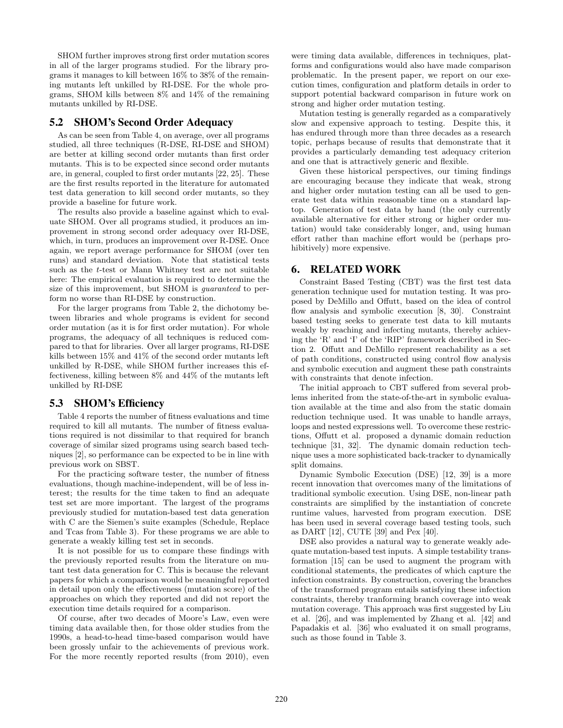SHOM further improves strong first order mutation scores in all of the larger programs studied. For the library programs it manages to kill between 16% to 38% of the remaining mutants left unkilled by RI-DSE. For the whole programs, SHOM kills between 8% and 14% of the remaining mutants unkilled by RI-DSE.

#### **5.2 SHOM's Second Order Adequacy**

As can be seen from Table 4, on average, over all programs studied, all three techniques (R-DSE, RI-DSE and SHOM) are better at killing second order mutants than first order mutants. This is to be expected since second order mutants are, in general, coupled to first order mutants [22, 25]. These are the first results reported in the literature for automated test data generation to kill second order mutants, so they provide a baseline for future work.

The results also provide a baseline against which to evaluate SHOM. Over all programs studied, it produces an improvement in strong second order adequacy over RI-DSE, which, in turn, produces an improvement over R-DSE. Once again, we report average performance for SHOM (over ten runs) and standard deviation. Note that statistical tests such as the t-test or Mann Whitney test are not suitable here: The empirical evaluation is required to determine the size of this improvement, but SHOM is *quaranteed* to perform no worse than RI-DSE by construction.

For the larger programs from Table 2, the dichotomy between libraries and whole programs is evident for second order mutation (as it is for first order mutation). For whole programs, the adequacy of all techniques is reduced compared to that for libraries. Over all larger programs, RI-DSE kills between 15% and 41% of the second order mutants left unkilled by R-DSE, while SHOM further increases this effectiveness, killing between 8% and 44% of the mutants left unkilled by RI-DSE

#### **5.3 SHOM's Efficiency**

Table 4 reports the number of fitness evaluations and time required to kill all mutants. The number of fitness evaluations required is not dissimilar to that required for branch coverage of similar sized programs using search based techniques [2], so performance can be expected to be in line with previous work on SBST.

For the practicing software tester, the number of fitness evaluations, though machine-independent, will be of less interest; the results for the time taken to find an adequate test set are more important. The largest of the programs previously studied for mutation-based test data generation with C are the Siemen's suite examples (Schedule, Replace and Tcas from Table 3). For these programs we are able to generate a weakly killing test set in seconds.

It is not possible for us to compare these findings with the previously reported results from the literature on mutant test data generation for C. This is because the relevant papers for which a comparison would be meaningful reported in detail upon only the effectiveness (mutation score) of the approaches on which they reported and did not report the execution time details required for a comparison.

Of course, after two decades of Moore's Law, even were timing data available then, for those older studies from the 1990s, a head-to-head time-based comparison would have been grossly unfair to the achievements of previous work. For the more recently reported results (from 2010), even

were timing data available, differences in techniques, platforms and configurations would also have made comparison problematic. In the present paper, we report on our execution times, configuration and platform details in order to support potential backward comparison in future work on strong and higher order mutation testing.

Mutation testing is generally regarded as a comparatively slow and expensive approach to testing. Despite this, it has endured through more than three decades as a research topic, perhaps because of results that demonstrate that it provides a particularly demanding test adequacy criterion and one that is attractively generic and flexible.

Given these historical perspectives, our timing findings are encouraging because they indicate that weak, strong and higher order mutation testing can all be used to generate test data within reasonable time on a standard laptop. Generation of test data by hand (the only currently available alternative for either strong or higher order mutation) would take considerably longer, and, using human effort rather than machine effort would be (perhaps prohibitively) more expensive.

#### **6. RELATED WORK**

Constraint Based Testing (CBT) was the first test data generation technique used for mutation testing. It was proposed by DeMillo and Offutt, based on the idea of control flow analysis and symbolic execution [8, 30]. Constraint based testing seeks to generate test data to kill mutants weakly by reaching and infecting mutants, thereby achieving the 'R' and 'I' of the 'RIP' framework described in Section 2. Offutt and DeMillo represent reachability as a set of path conditions, constructed using control flow analysis and symbolic execution and augment these path constraints with constraints that denote infection.

The initial approach to CBT suffered from several problems inherited from the state-of-the-art in symbolic evaluation available at the time and also from the static domain reduction technique used. It was unable to handle arrays, loops and nested expressions well. To overcome these restrictions, Offutt et al. proposed a dynamic domain reduction technique [31, 32]. The dynamic domain reduction technique uses a more sophisticated back-tracker to dynamically split domains.

Dynamic Symbolic Execution (DSE) [12, 39] is a more recent innovation that overcomes many of the limitations of traditional symbolic execution. Using DSE, non-linear path constraints are simplified by the instantiation of concrete runtime values, harvested from program execution. DSE has been used in several coverage based testing tools, such as DART [12], CUTE [39] and Pex [40].

DSE also provides a natural way to generate weakly adequate mutation-based test inputs. A simple testability transformation [15] can be used to augment the program with conditional statements, the predicates of which capture the infection constraints. By construction, covering the branches of the transformed program entails satisfying these infection constraints, thereby tranforming branch coverage into weak mutation coverage. This approach was first suggested by Liu et al. [26], and was implemented by Zhang et al. [42] and Papadakis et al. [36] who evaluated it on small programs, such as those found in Table 3.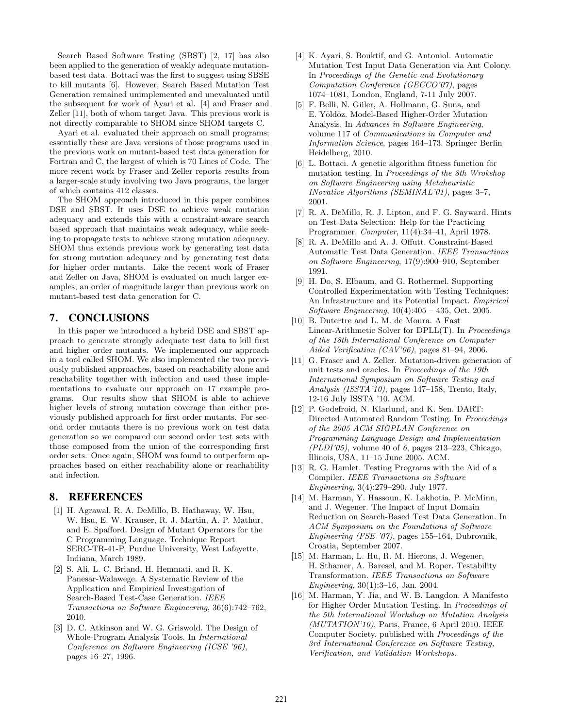Search Based Software Testing (SBST) [2, 17] has also been applied to the generation of weakly adequate mutationbased test data. Bottaci was the first to suggest using SBSE to kill mutants [6]. However, Search Based Mutation Test Generation remained unimplemented and unevaluated until the subsequent for work of Ayari et al. [4] and Fraser and Zeller [11], both of whom target Java. This previous work is not directly comparable to SHOM since SHOM targets C.

Ayari et al. evaluated their approach on small programs; essentially these are Java versions of those programs used in the previous work on mutant-based test data generation for Fortran and C, the largest of which is 70 Lines of Code. The more recent work by Fraser and Zeller reports results from a larger-scale study involving two Java programs, the larger of which contains 412 classes.

The SHOM approach introduced in this paper combines DSE and SBST. It uses DSE to achieve weak mutation adequacy and extends this with a constraint-aware search based approach that maintains weak adequacy, while seeking to propagate tests to achieve strong mutation adequacy. SHOM thus extends previous work by generating test data for strong mutation adequacy and by generating test data for higher order mutants. Like the recent work of Fraser and Zeller on Java, SHOM is evaluated on much larger examples; an order of magnitude larger than previous work on mutant-based test data generation for C.

# **7. CONCLUSIONS**

In this paper we introduced a hybrid DSE and SBST approach to generate strongly adequate test data to kill first and higher order mutants. We implemented our approach in a tool called SHOM. We also implemented the two previously published approaches, based on reachability alone and reachability together with infection and used these implementations to evaluate our approach on 17 example programs. Our results show that SHOM is able to achieve higher levels of strong mutation coverage than either previously published approach for first order mutants. For second order mutants there is no previous work on test data generation so we compared our second order test sets with those composed from the union of the corresponding first order sets. Once again, SHOM was found to outperform approaches based on either reachability alone or reachability and infection.

#### **8. REFERENCES**

- [1] H. Agrawal, R. A. DeMillo, B. Hathaway, W. Hsu, W. Hsu, E. W. Krauser, R. J. Martin, A. P. Mathur, and E. Spafford. Design of Mutant Operators for the C Programming Language. Technique Report SERC-TR-41-P, Purdue University, West Lafayette, Indiana, March 1989.
- [2] S. Ali, L. C. Briand, H. Hemmati, and R. K. Panesar-Walawege. A Systematic Review of the Application and Empirical Investigation of Search-Based Test-Case Generation. IEEE Transactions on Software Engineering, 36(6):742–762, 2010.
- [3] D. C. Atkinson and W. G. Griswold. The Design of Whole-Program Analysis Tools. In International Conference on Software Engineering (ICSE '96), pages 16–27, 1996.
- [4] K. Ayari, S. Bouktif, and G. Antoniol. Automatic Mutation Test Input Data Generation via Ant Colony. In Proceedings of the Genetic and Evolutionary Computation Conference (GECCO'07), pages 1074–1081, London, England, 7-11 July 2007.
- [5] F. Belli, N. Güler, A. Hollmann, G. Suna, and E. Yõldõz. Model-Based Higher-Order Mutation Analysis. In Advances in Software Engineering, volume 117 of Communications in Computer and Information Science, pages 164–173. Springer Berlin Heidelberg, 2010.
- [6] L. Bottaci. A genetic algorithm fitness function for mutation testing. In Proceedings of the 8th Wrokshop on Software Engineering using Metaheuristic INovative Algorithms (SEMINAL'01), pages 3–7, 2001.
- [7] R. A. DeMillo, R. J. Lipton, and F. G. Sayward. Hints on Test Data Selection: Help for the Practicing Programmer. Computer, 11(4):34–41, April 1978.
- [8] R. A. DeMillo and A. J. Offutt. Constraint-Based Automatic Test Data Generation. IEEE Transactions on Software Engineering, 17(9):900–910, September 1991.
- [9] H. Do, S. Elbaum, and G. Rothermel. Supporting Controlled Experimentation with Testing Techniques: An Infrastructure and its Potential Impact. Empirical Software Engineering, 10(4):405 – 435, Oct. 2005.
- [10] B. Dutertre and L. M. de Moura. A Fast Linear-Arithmetic Solver for DPLL(T). In Proceedings of the 18th International Conference on Computer Aided Verification (CAV'06), pages 81-94, 2006.
- [11] G. Fraser and A. Zeller. Mutation-driven generation of unit tests and oracles. In Proceedings of the 19th International Symposium on Software Testing and Analysis (ISSTA'10), pages 147–158, Trento, Italy, 12-16 July ISSTA '10. ACM.
- [12] P. Godefroid, N. Klarlund, and K. Sen. DART: Directed Automated Random Testing. In Proceedings of the 2005 ACM SIGPLAN Conference on Programming Language Design and Implementation  $(PLDI'05)$ , volume 40 of 6, pages 213–223, Chicago, Illinois, USA, 11–15 June 2005. ACM.
- [13] R. G. Hamlet. Testing Programs with the Aid of a Compiler. IEEE Transactions on Software Engineering, 3(4):279–290, July 1977.
- [14] M. Harman, Y. Hassoun, K. Lakhotia, P. McMinn, and J. Wegener. The Impact of Input Domain Reduction on Search-Based Test Data Generation. In ACM Symposium on the Foundations of Software Engineering (FSE '07), pages 155–164, Dubrovnik, Croatia, September 2007.
- [15] M. Harman, L. Hu, R. M. Hierons, J. Wegener, H. Sthamer, A. Baresel, and M. Roper. Testability Transformation. IEEE Transactions on Software Engineering, 30(1):3–16, Jan. 2004.
- [16] M. Harman, Y. Jia, and W. B. Langdon. A Manifesto for Higher Order Mutation Testing. In Proceedings of the 5th International Workshop on Mutation Analysis  $(MUTATION'10)$ , Paris, France, 6 April 2010. IEEE Computer Society. published with Proceedings of the 3rd International Conference on Software Testing, Verification, and Validation Workshops.